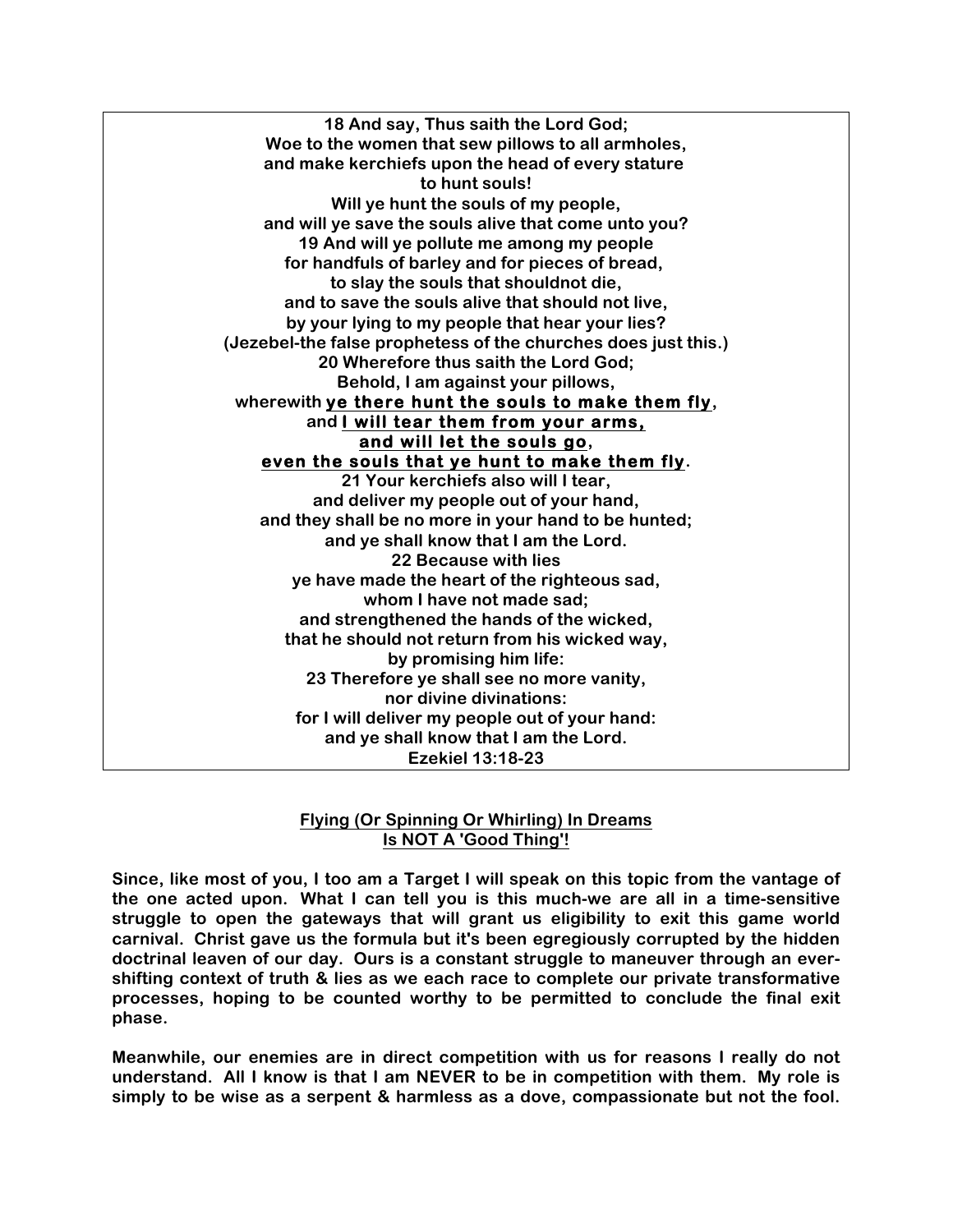**18 And say, Thus saith the Lord God; Woe to the women that sew pillows to all armholes, and make kerchiefs upon the head of every stature to hunt souls! Will ye hunt the souls of my people, and will ye save the souls alive that come unto you? 19 And will ye pollute me among my people for handfuls of barley and for pieces of bread, to slay the souls that shouldnot die, and to save the souls alive that should not live, by your lying to my people that hear your lies? (Jezebel-the false prophetess of the churches does just this.) 20 Wherefore thus saith the Lord God; Behold, I am against your pillows, wherewith ye there hunt the souls to make them fly, and I will tear them from your arms, and will let the souls go, even the souls that ye hunt to make them fly. 21 Your kerchiefs also will I tear, and deliver my people out of your hand, and they shall be no more in your hand to be hunted; and ye shall know that I am the Lord. 22 Because with lies ye have made the heart of the righteous sad, whom I have not made sad; and strengthened the hands of the wicked, that he should not return from his wicked way, by promising him life: 23 Therefore ye shall see no more vanity, nor divine divinations: for I will deliver my people out of your hand: and ye shall know that I am the Lord. Ezekiel 13:18-23**

## **Flying (Or Spinning Or Whirling) In Dreams Is NOT A 'Good Thing'!**

**Since, like most of you, I too am a Target I will speak on this topic from the vantage of the one acted upon. What I can tell you is this much-we are all in a time-sensitive struggle to open the gateways that will grant us eligibility to exit this game world carnival. Christ gave us the formula but it's been egregiously corrupted by the hidden doctrinal leaven of our day. Ours is a constant struggle to maneuver through an evershifting context of truth & lies as we each race to complete our private transformative processes, hoping to be counted worthy to be permitted to conclude the final exit phase.** 

**Meanwhile, our enemies are in direct competition with us for reasons I really do not understand. All I know is that I am NEVER to be in competition with them. My role is simply to be wise as a serpent & harmless as a dove, compassionate but not the fool.**